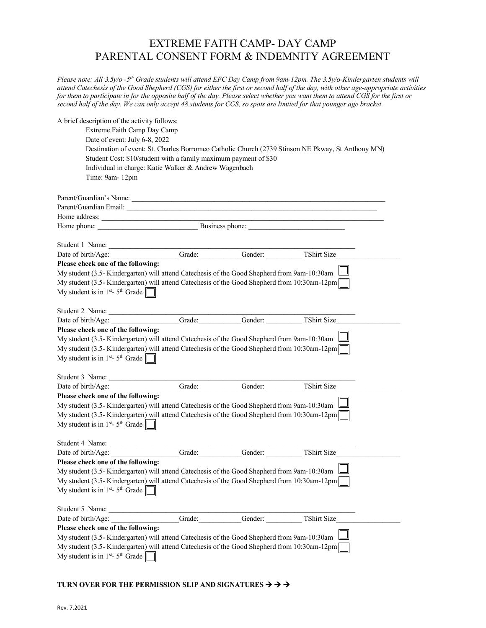## EXTREME FAITH CAMP- DAY CAMP PARENTAL CONSENT FORM & INDEMNITY AGREEMENT

*Please note: All 3.5y/o -5th Grade students will attend EFC Day Camp from 9am-12pm. The 3.5y/o-Kindergarten students will attend Catechesis of the Good Shepherd (CGS) for either the first or second half of the day, with other age-appropriate activities*  for them to participate in for the opposite half of the day. Please select whether you want them to attend CGS for the first or *second half of the day. We can only accept 48 students for CGS, so spots are limited for that younger age bracket.* 

| A brief description of the activity follows:<br>Extreme Faith Camp Day Camp<br>Date of event: July 6-8, 2022<br>Student Cost: \$10/student with a family maximum payment of \$30<br>Individual in charge: Katie Walker & Andrew Wagenbach<br>Time: 9am-12pm |        |         | Destination of event: St. Charles Borromeo Catholic Church (2739 Stinson NE Pkway, St Anthony MN) |  |
|-------------------------------------------------------------------------------------------------------------------------------------------------------------------------------------------------------------------------------------------------------------|--------|---------|---------------------------------------------------------------------------------------------------|--|
|                                                                                                                                                                                                                                                             |        |         |                                                                                                   |  |
|                                                                                                                                                                                                                                                             |        |         |                                                                                                   |  |
| Home address: $\frac{1}{1}$                                                                                                                                                                                                                                 |        |         |                                                                                                   |  |
| Home phone:<br>Business phone:                                                                                                                                                                                                                              |        |         |                                                                                                   |  |
|                                                                                                                                                                                                                                                             |        |         |                                                                                                   |  |
| Date of birth/Age: Grade: Grade: Gender: TShirt Size                                                                                                                                                                                                        |        |         |                                                                                                   |  |
| Please check one of the following:                                                                                                                                                                                                                          |        |         |                                                                                                   |  |
| My student (3.5- Kindergarten) will attend Catechesis of the Good Shepherd from 9am-10:30am $\lfloor$                                                                                                                                                       |        |         |                                                                                                   |  |
| My student (3.5- Kindergarten) will attend Catechesis of the Good Shepherd from 10:30am-12pm                                                                                                                                                                |        |         |                                                                                                   |  |
| My student is in $1st$ - 5 <sup>th</sup> Grade $\Box$                                                                                                                                                                                                       |        |         |                                                                                                   |  |
| Student 2 Name:                                                                                                                                                                                                                                             |        |         |                                                                                                   |  |
| Date of birth/Age: Grade: Grade: Gender: TShirt Size                                                                                                                                                                                                        |        |         |                                                                                                   |  |
| Please check one of the following:                                                                                                                                                                                                                          |        |         |                                                                                                   |  |
| My student (3.5- Kindergarten) will attend Catechesis of the Good Shepherd from 9am-10:30am                                                                                                                                                                 |        |         |                                                                                                   |  |
| My student (3.5- Kindergarten) will attend Catechesis of the Good Shepherd from 10:30am-12pm<br>My student is in $1^{st}$ - 5 <sup>th</sup> Grade $\Box$                                                                                                    |        |         |                                                                                                   |  |
| Student 3 Name:                                                                                                                                                                                                                                             |        |         |                                                                                                   |  |
| Date of birth/Age: Grade: Grade: Gender: TShirt Size                                                                                                                                                                                                        |        |         |                                                                                                   |  |
| Please check one of the following:                                                                                                                                                                                                                          |        |         |                                                                                                   |  |
| My student (3.5- Kindergarten) will attend Catechesis of the Good Shepherd from 9am-10:30am                                                                                                                                                                 |        |         |                                                                                                   |  |
| My student (3.5- Kindergarten) will attend Catechesis of the Good Shepherd from 10:30am-12pm                                                                                                                                                                |        |         |                                                                                                   |  |
| My student is in 1 <sup>st</sup> - 5 <sup>th</sup> Grade $\Box$                                                                                                                                                                                             |        |         |                                                                                                   |  |
|                                                                                                                                                                                                                                                             |        |         |                                                                                                   |  |
| Date of birth/Age:                                                                                                                                                                                                                                          | Grade: |         | Gender: TShirt Size                                                                               |  |
| Please check one of the following:                                                                                                                                                                                                                          |        |         | $\Box$                                                                                            |  |
| My student (3.5- Kindergarten) will attend Catechesis of the Good Shepherd from 9am-10:30am                                                                                                                                                                 |        |         |                                                                                                   |  |
| My student (3.5- Kindergarten) will attend Catechesis of the Good Shepherd from 10:30am-12pm                                                                                                                                                                |        |         |                                                                                                   |  |
| My student is in $1st$ - 5 <sup>th</sup> Grade                                                                                                                                                                                                              |        |         |                                                                                                   |  |
| Student 5 Name:                                                                                                                                                                                                                                             |        |         |                                                                                                   |  |
| Date of birth/Age:                                                                                                                                                                                                                                          | Grade: | Gender: | TShirt Size                                                                                       |  |
| Please check one of the following:                                                                                                                                                                                                                          |        |         |                                                                                                   |  |
| My student (3.5- Kindergarten) will attend Catechesis of the Good Shepherd from 9am-10:30am                                                                                                                                                                 |        |         |                                                                                                   |  |
| My student (3.5- Kindergarten) will attend Catechesis of the Good Shepherd from 10:30am-12pm<br>My student is in $1st$ - 5 <sup>th</sup> Grade                                                                                                              |        |         |                                                                                                   |  |
|                                                                                                                                                                                                                                                             |        |         |                                                                                                   |  |

## TURN OVER FOR THE PERMISSION SLIP AND SIGNATURES  $\rightarrow$   $\rightarrow$   $\rightarrow$